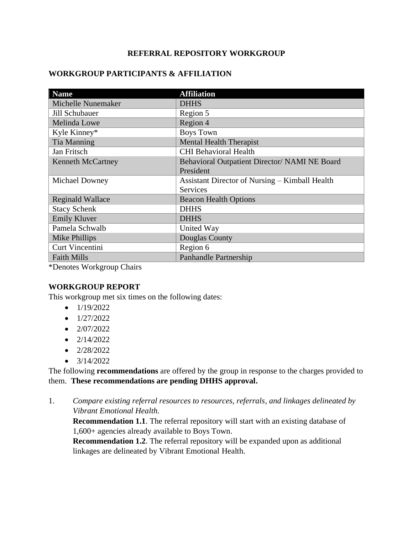## **REFERRAL REPOSITORY WORKGROUP**

### **WORKGROUP PARTICIPANTS & AFFILIATION**

| <b>Name</b>                  | <b>Affiliation</b>                             |
|------------------------------|------------------------------------------------|
| <b>Michelle Nunemaker</b>    | <b>DHHS</b>                                    |
| Jill Schubauer               | Region 5                                       |
| Melinda Lowe                 | Region 4                                       |
| Kyle Kinney*                 | <b>Boys Town</b>                               |
| Tia Manning                  | <b>Mental Health Therapist</b>                 |
| Jan Fritsch                  | <b>CHI Behavioral Health</b>                   |
| <b>Kenneth McCartney</b>     | Behavioral Outpatient Director/ NAMI NE Board  |
|                              | President                                      |
| Michael Downey               | Assistant Director of Nursing – Kimball Health |
|                              | <b>Services</b>                                |
| <b>Reginald Wallace</b>      | <b>Beacon Health Options</b>                   |
| <b>Stacy Schenk</b>          | <b>DHHS</b>                                    |
| <b>Emily Kluver</b>          | <b>DHHS</b>                                    |
| Pamela Schwalb               | United Way                                     |
| Mike Phillips                | <b>Douglas County</b>                          |
| <b>Curt Vincentini</b>       | Region 6                                       |
| <b>Faith Mills</b>           | <b>Panhandle Partnership</b>                   |
| $*$ Danatas Warkaraun Chairs |                                                |

\*Denotes Workgroup Chairs

#### **WORKGROUP REPORT**

This workgroup met six times on the following dates:

- $\bullet$  1/19/2022
- $\bullet$  1/27/2022
- $\bullet$  2/07/2022
- $\bullet$  2/14/2022
- $\bullet$  2/28/2022
- $\bullet$  3/14/2022

The following **recommendations** are offered by the group in response to the charges provided to them. **These recommendations are pending DHHS approval.**

1. *Compare existing referral resources to resources, referrals, and linkages delineated by Vibrant Emotional Health.*

**Recommendation 1.1**. The referral repository will start with an existing database of 1,600+ agencies already available to Boys Town.

**Recommendation 1.2**. The referral repository will be expanded upon as additional linkages are delineated by Vibrant Emotional Health.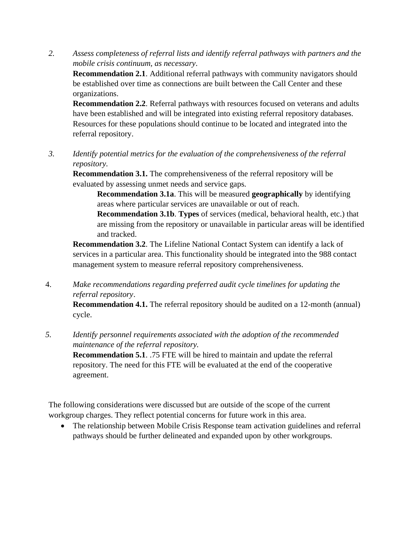*2. Assess completeness of referral lists and identify referral pathways with partners and the mobile crisis continuum, as necessary.*

**Recommendation 2.1**. Additional referral pathways with community navigators should be established over time as connections are built between the Call Center and these organizations.

**Recommendation 2.2**. Referral pathways with resources focused on veterans and adults have been established and will be integrated into existing referral repository databases. Resources for these populations should continue to be located and integrated into the referral repository.

*3. Identify potential metrics for the evaluation of the comprehensiveness of the referral repository.*

**Recommendation 3.1.** The comprehensiveness of the referral repository will be evaluated by assessing unmet needs and service gaps.

**Recommendation 3.1a**. This will be measured **geographically** by identifying areas where particular services are unavailable or out of reach.

**Recommendation 3.1b**. **Types** of services (medical, behavioral health, etc.) that are missing from the repository or unavailable in particular areas will be identified and tracked.

**Recommendation 3.2**. The Lifeline National Contact System can identify a lack of services in a particular area. This functionality should be integrated into the 988 contact management system to measure referral repository comprehensiveness.

4. *Make recommendations regarding preferred audit cycle timelines for updating the referral repository*.

**Recommendation 4.1.** The referral repository should be audited on a 12-month (annual) cycle.

*5. Identify personnel requirements associated with the adoption of the recommended maintenance of the referral repository.* **Recommendation 5.1**. .75 FTE will be hired to maintain and update the referral repository. The need for this FTE will be evaluated at the end of the cooperative agreement.

The following considerations were discussed but are outside of the scope of the current workgroup charges. They reflect potential concerns for future work in this area.

• The relationship between Mobile Crisis Response team activation guidelines and referral pathways should be further delineated and expanded upon by other workgroups.